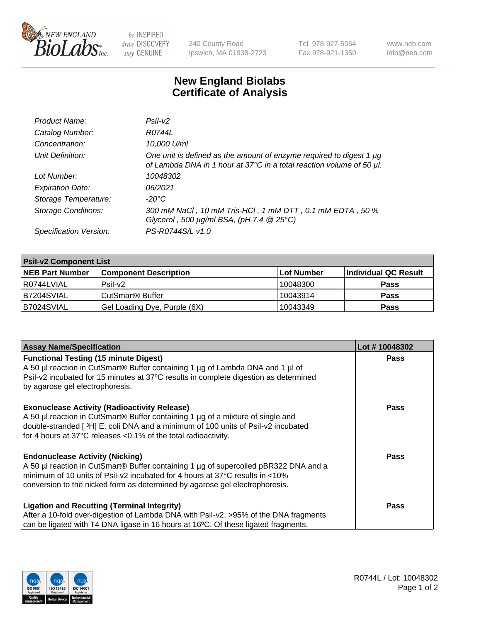

be INSPIRED drive DISCOVERY stay GENUINE

240 County Road Ipswich, MA 01938-2723 Tel 978-927-5054 Fax 978-921-1350 www.neb.com info@neb.com

## **New England Biolabs Certificate of Analysis**

| Product Name:              | Psi2                                                                                                                                        |
|----------------------------|---------------------------------------------------------------------------------------------------------------------------------------------|
| Catalog Number:            | R0744L                                                                                                                                      |
| Concentration:             | 10,000 U/ml                                                                                                                                 |
| Unit Definition:           | One unit is defined as the amount of enzyme required to digest 1 µg<br>of Lambda DNA in 1 hour at 37°C in a total reaction volume of 50 µl. |
| Lot Number:                | 10048302                                                                                                                                    |
| <b>Expiration Date:</b>    | 06/2021                                                                                                                                     |
| Storage Temperature:       | -20°C                                                                                                                                       |
| <b>Storage Conditions:</b> | 300 mM NaCl, 10 mM Tris-HCl, 1 mM DTT, 0.1 mM EDTA, 50 %<br>Glycerol, 500 $\mu$ g/ml BSA, (pH 7.4 $@25°C$ )                                 |
| Specification Version:     | PS-R0744S/L v1.0                                                                                                                            |

| <b>Psil-v2 Component List</b> |                              |            |                      |  |  |
|-------------------------------|------------------------------|------------|----------------------|--|--|
| <b>NEB Part Number</b>        | <b>Component Description</b> | Lot Number | Individual QC Result |  |  |
| l R0744LVIAL                  | $P$ sil-v $2$                | 10048300   | <b>Pass</b>          |  |  |
| B7204SVIAL                    | CutSmart <sup>®</sup> Buffer | 10043914   | <b>Pass</b>          |  |  |
| B7024SVIAL                    | Gel Loading Dye, Purple (6X) | 10043349   | <b>Pass</b>          |  |  |

| <b>Assay Name/Specification</b>                                                                                                                                                                           | Lot #10048302 |
|-----------------------------------------------------------------------------------------------------------------------------------------------------------------------------------------------------------|---------------|
| <b>Functional Testing (15 minute Digest)</b>                                                                                                                                                              | <b>Pass</b>   |
| A 50 µl reaction in CutSmart® Buffer containing 1 µg of Lambda DNA and 1 µl of<br>Psil-v2 incubated for 15 minutes at 37°C results in complete digestion as determined<br>by agarose gel electrophoresis. |               |
| <b>Exonuclease Activity (Radioactivity Release)</b>                                                                                                                                                       | Pass          |
| A 50 µl reaction in CutSmart® Buffer containing 1 µg of a mixture of single and<br>double-stranded [3H] E. coli DNA and a minimum of 100 units of Psil-v2 incubated                                       |               |
| for 4 hours at 37°C releases <0.1% of the total radioactivity.                                                                                                                                            |               |
| <b>Endonuclease Activity (Nicking)</b>                                                                                                                                                                    | Pass          |
| A 50 µl reaction in CutSmart® Buffer containing 1 µg of supercoiled pBR322 DNA and a<br>minimum of 10 units of Psil-v2 incubated for 4 hours at 37°C results in <10%                                      |               |
| conversion to the nicked form as determined by agarose gel electrophoresis.                                                                                                                               |               |
| <b>Ligation and Recutting (Terminal Integrity)</b>                                                                                                                                                        | <b>Pass</b>   |
| After a 10-fold over-digestion of Lambda DNA with Psil-v2, >95% of the DNA fragments                                                                                                                      |               |
| can be ligated with T4 DNA ligase in 16 hours at 16 $\degree$ C. Of these ligated fragments,                                                                                                              |               |